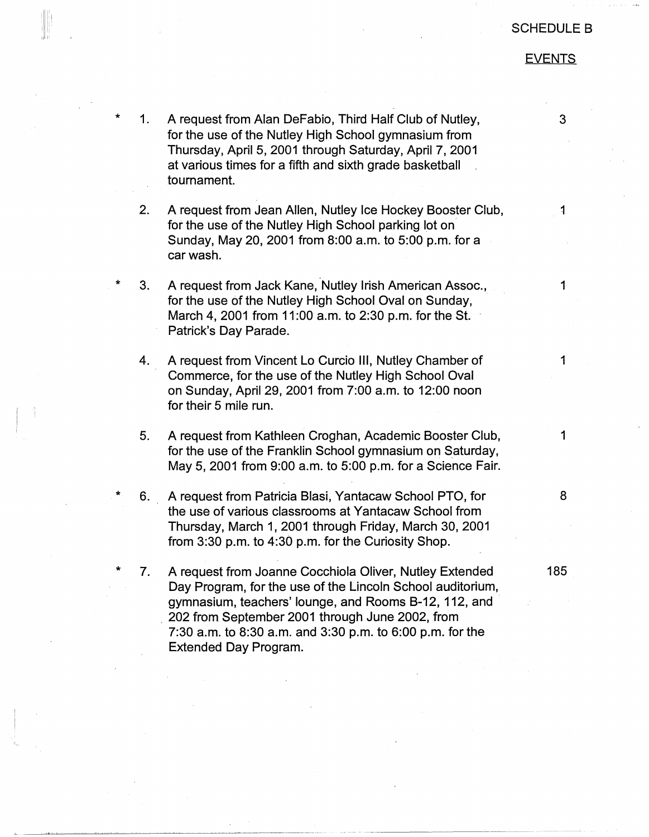## SCHEDULE B

## EVENTS

- \* 1. A request from Alan DeFabio, Third Half Club of Nutley, for the use of the Nutley High School gymnasium from Thursday, April 5, 2001 through Saturday, April 7, 2001 at various times for a fifth and sixth grade basketball tournament.
- 2. A request from Jean Allen, Nutley Ice Hockey Booster Club, for the use of the Nutley High School parking lot on Sunday, May 20, 2001 from 8:00 a.m. to 5:00 p.m. for a car wash.
- \* 3. A request from Jack Kane, Nutley Irish American Assoc., for the use of the Nutley High School Oval on Sunday, March 4, 2001 from 11 :00 a.m. to 2:30 p.m. for the St. Patrick's Day Parade.
- 4. A request from Vincent Lo Curcio Ill, Nutley Chamber of Commerce, for the use of the Nutley High School Oval on Sunday, April 29, 2001 from 7:00 a.m. to 12:00 noon for their 5 mile run.
- 5. A request from Kathleen Croghan, Academic Booster Club, for the use of the Franklin School gymnasium on Saturday, May 5, 2001 from 9:00 a.m. to 5:00 p.m. for a Science Fair.
- $6.$ A request from Patricia Blasi, Yantacaw School PTO, for the use of various classrooms at Yantacaw School from Thursday, March 1, 2001 through Friday, March 30, 2001 from 3:30 p.m. to 4:30 p.m. for the Curiosity Shop.
- \* 7. A request from Joanne Cocchiola Oliver, Nutley Extended Day Program, for the use of the Lincoln School auditorium, gymnasium, teachers' lounge, and Rooms B-12, 112, and . 202 from September 2001 through June 2002, from 7:30 a.m. to 8:30 a.m. and 3:30 p.m. to 6:00 p.m. for the Extended Day Program.

3

1

1

1

8

1

185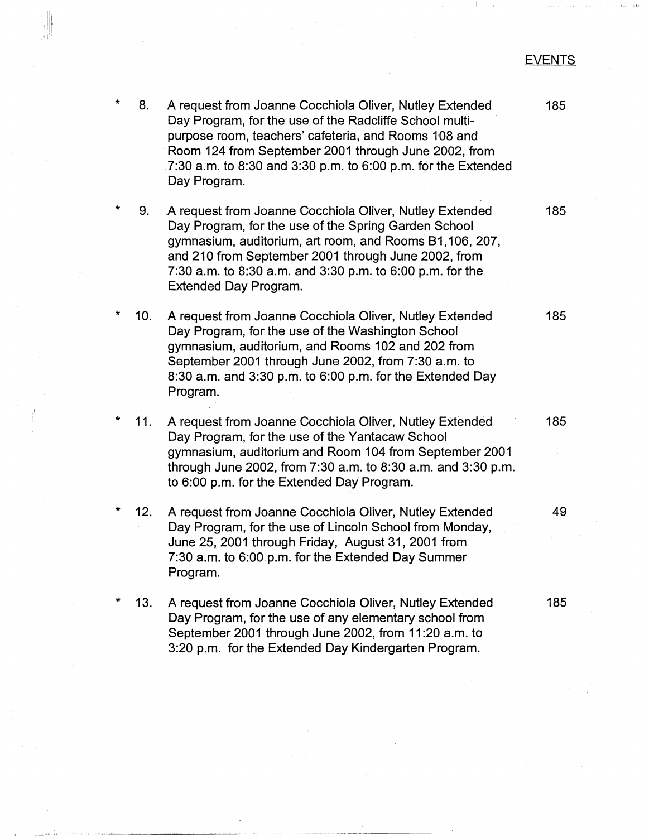## **EVENTS**

Day Program, for the use of the Radcliffe School multipurpose room, teachers' cafeteria, and Rooms 108 and Room 124 from September 2001 through June 2002, from 7:30 a.m. to 8:30 and 3:30 p.m. to 6:00 p.m. for the Extended Day Program. 9. A request from Joanne Cocchiola Oliver, Nutley Extended 185 Day Program, for the use of the Spring Garden School gymnasium, auditorium, art room, and Rooms 81,106,207, and 210 from September 2001 through June 2002, from 7:30 a.m. to 8:30 a.m. and 3:30 p.m. to 6:00 p.m. for the Extended Day Program. 10. A request from Joanne Cocchiola Oliver, Nutley Extended 185 Day Program, for the use of the Washington School gymnasium, auditorium, and Rooms 102 and 202 from September 2001 through June 2002, from 7:30 a.m. to 8:30 a.m. and 3:30 p.m. to 6:00 p.m. for the Extended Day Program. 11. A request from Joanne Cocchiola Oliver, Nutley Extended 185 Day Program, for the use of the Yantacaw School gymnasium, auditorium and Room 104 from September 2001 through June 2002, from 7:30 a.m. to 8:30 a.m. and 3:30 p.m. to 6:00 p.m. for the Extended Day Program. 12. A request from Joanne Cocchiola Oliver, Nutley Extended 49 Day Program, for the use of Lincoln School from Monday, June 25, 2001 through Friday, August 31, 2001 from 7:30 a.m. to 6:00. p.m. for the Extended Day Summer Program. 13. A request from Joanne Cocchiola Oliver, Nutley Extended 185 Day Program, for the use of any elementary school from September 2001 through June 2002, from 11 :20 a.m. to 3:20 p.m. for the Extended Day Kindergarten Program.

 $\parallel$  II .

8. A request from Joanne Cocchiola Oliver, Nutley Extended 185